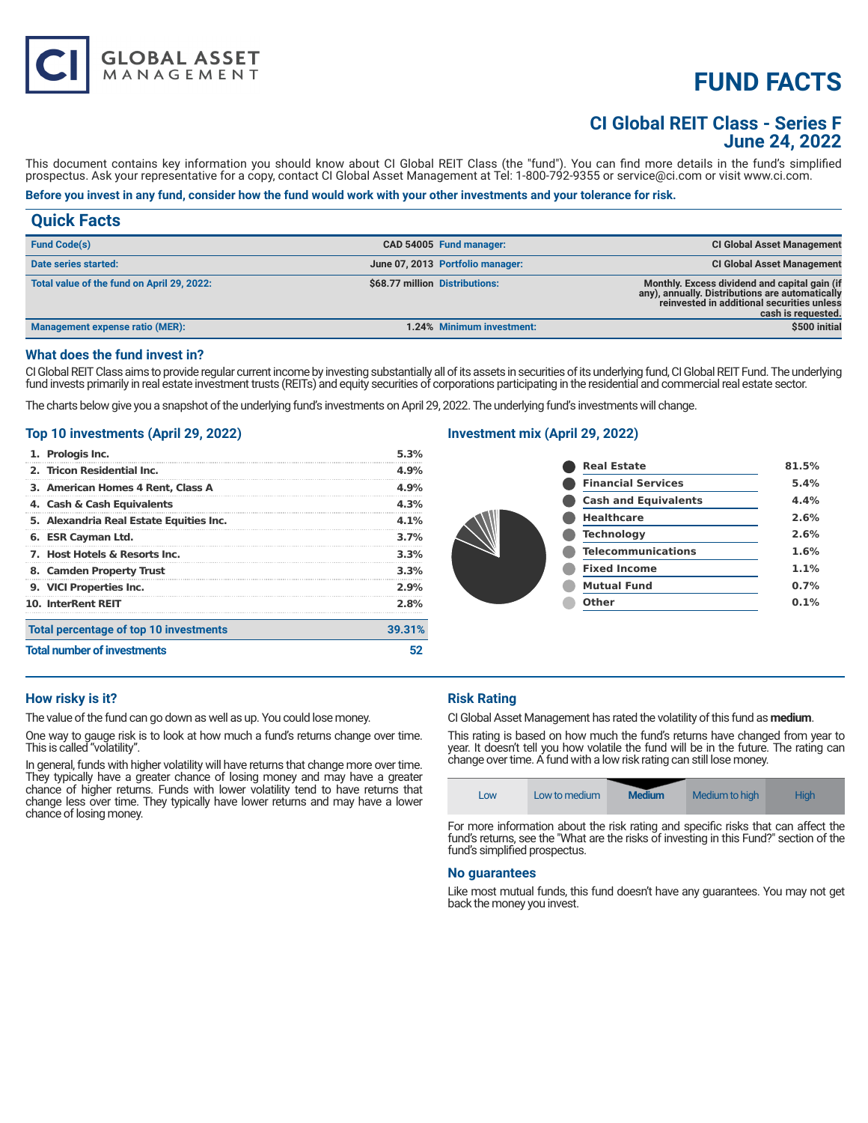# **FUND FACTS**

# **CI Global REIT Class - Series F June 24, 2022**

This document contains key information you should know about CI Global REIT Class (the "fund"). You can find more details in the fund's simplified prospectus. Ask your representative for a copy, contact CI Global Asset Management at Tel: 1-800-792-9355 or service@ci.com or visit www.ci.com.

# **Before you invest in any fund, consider how the fund would work with your other investments and your tolerance for risk.**

| <b>Quick Facts</b>                         |                                |                                  |                                                                                                                                                                      |
|--------------------------------------------|--------------------------------|----------------------------------|----------------------------------------------------------------------------------------------------------------------------------------------------------------------|
| <b>Fund Code(s)</b>                        |                                | CAD 54005 Fund manager:          | <b>CI Global Asset Management</b>                                                                                                                                    |
| Date series started:                       |                                | June 07, 2013 Portfolio manager: | <b>CI Global Asset Management</b>                                                                                                                                    |
| Total value of the fund on April 29, 2022: | \$68.77 million Distributions: |                                  | Monthly. Excess dividend and capital gain (if<br>any), annually. Distributions are automatically<br>reinvested in additional securities unless<br>cash is requested. |
| Management expense ratio (MER):            |                                | 1.24% Minimum investment:        | \$500 initial                                                                                                                                                        |

#### **What does the fund invest in?**

CI Global REIT Class aims to provide regular current income by investing substantially all of its assets in securities of its underlying fund, CI Global REIT Fund. The underlying fund invests primarily in real estate investment trusts (REITs) and equity securities of corporations participating in the residential and commercial real estate sector.

The charts below give you a snapshot of the underlying fund's investments on April 29, 2022. The underlying fund's investments will change.

## **Top 10 investments (April 29, 2022)**

**GLOBAL ASSET**<br>MANAGEMENT

| <b>Total number of investments</b> |                                         |        |
|------------------------------------|-----------------------------------------|--------|
|                                    | Total percentage of top 10 investments  | 39.31% |
|                                    | <b>10. InterRent REIT</b>               | 2.8%   |
|                                    | 9. VICI Properties Inc.                 | 2.9%   |
|                                    | 8. Camden Property Trust                | 3.3%   |
|                                    | 7. Host Hotels & Resorts Inc.           | 3.3%   |
|                                    | 6. ESR Cayman Ltd.                      | 3.7%   |
|                                    | 5. Alexandria Real Estate Equities Inc. | 4.1%   |
|                                    | 4. Cash & Cash Equivalents              | 4.3%   |
|                                    | 3. American Homes 4 Rent, Class A       | 4.9%   |
|                                    | 2. Tricon Residential Inc.              | 4.9%   |
|                                    | 1. Prologis Inc.                        | 5.3%   |

# **Investment mix (April 29, 2022)**

|  | <b>Real Estate</b>          | 81.5% |
|--|-----------------------------|-------|
|  | <b>Financial Services</b>   | 5.4%  |
|  | <b>Cash and Equivalents</b> | 4.4%  |
|  | <b>Healthcare</b>           | 2.6%  |
|  | <b>Technology</b>           | 2.6%  |
|  | <b>Telecommunications</b>   | 1.6%  |
|  | <b>Fixed Income</b>         | 1.1%  |
|  | <b>Mutual Fund</b>          | 0.7%  |
|  | <b>Other</b>                | 0.1%  |
|  |                             |       |

#### **How risky is it?**

The value of the fund can go down as well as up. You could lose money.

One way to gauge risk is to look at how much a fund's returns change over time. This is called "volatility".

In general, funds with higher volatility will have returns that change more over time. They typically have a greater chance of losing money and may have a greater chance of higher returns. Funds with lower volatility tend to have returns that change less over time. They typically have lower returns and may have a lower chance of losing money.

# **Risk Rating**

CI Global Asset Management has rated the volatility of this fund as **medium**.

This rating is based on how much the fund's returns have changed from year to year. It doesn't tell you how volatile the fund will be in the future. The rating can change over time. A fund with a low risk rating can still lose money.



For more information about the risk rating and specific risks that can affect the fund's returns, see the "What are the risks of investing in this Fund?" section of the fund's simplified prospectus.

#### **No guarantees**

Like most mutual funds, this fund doesn't have any guarantees. You may not get back the money you invest.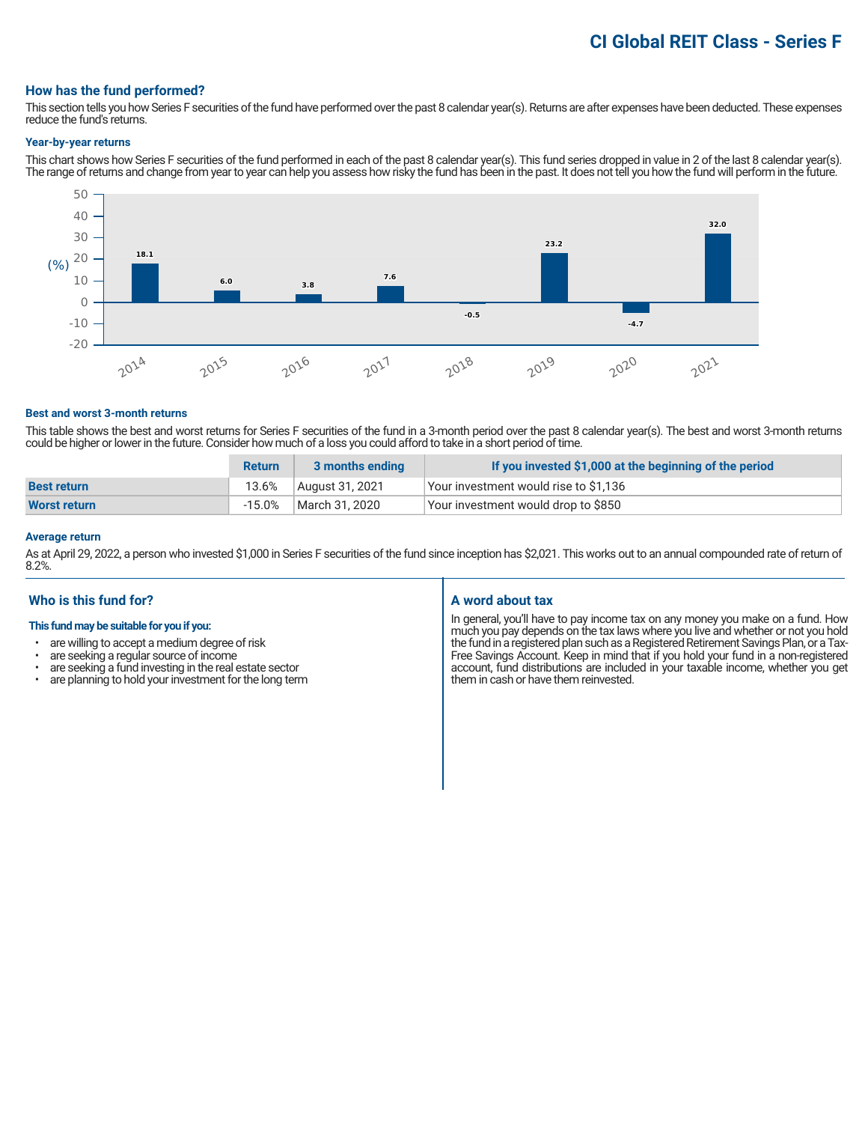# **CI Global REIT Class - Series F**

#### **How has the fund performed?**

This section tells you how Series F securities of the fund have performed over the past 8 calendar year(s). Returns are after expenses have been deducted. These expenses reduce the fund's returns.

#### **Year-by-year returns**

This chart shows how Series F securities of the fund performed in each of the past 8 calendar year(s). This fund series dropped in value in 2 of the last 8 calendar year(s). The range of returns and change from year to year can help you assess how risky the fund has been in the past. It does not tell you how the fund will perform in the future.



#### **Best and worst 3-month returns**

This table shows the best and worst returns for Series F securities of the fund in a 3-month period over the past 8 calendar year(s). The best and worst 3-month returns could be higher or lower in the future. Consider how much of a loss you could afford to take in a short period of time.

|                    | <b>Return</b> | 3 months ending | If you invested \$1,000 at the beginning of the period |
|--------------------|---------------|-----------------|--------------------------------------------------------|
| <b>Best return</b> | 13.6%         | August 31, 2021 | Your investment would rise to \$1,136                  |
| Worst return       | $-15.0\%$     | March 31, 2020  | Your investment would drop to \$850                    |

## **Average return**

As at April 29, 2022, a person who invested \$1,000 in Series F securities of the fund since inception has \$2,021. This works out to an annual compounded rate of return of 8.2%.

# **Who is this fund for?**

#### **This fund may be suitable for you if you:**

- are willing to accept a medium degree of risk<br>• are seeking a requier source of income
- are seeking a regular source of income<br>• are seeking a fund investing in the real of
- are seeking a fund investing in the real estate sector<br>• are planning to hold your investment for the long term
- are planning to hold your investment for the long term

# **A word about tax**

In general, you'll have to pay income tax on any money you make on a fund. How much you pay depends on the tax laws where you live and whether or not you hold the fund in a registered plan such as a Registered Retirement Savings Plan, or a Tax-Free Savings Account. Keep in mind that if you hold your fund in a non-registered account, fund distributions are included in your taxable income, whether you get them in cash or have them reinvested.